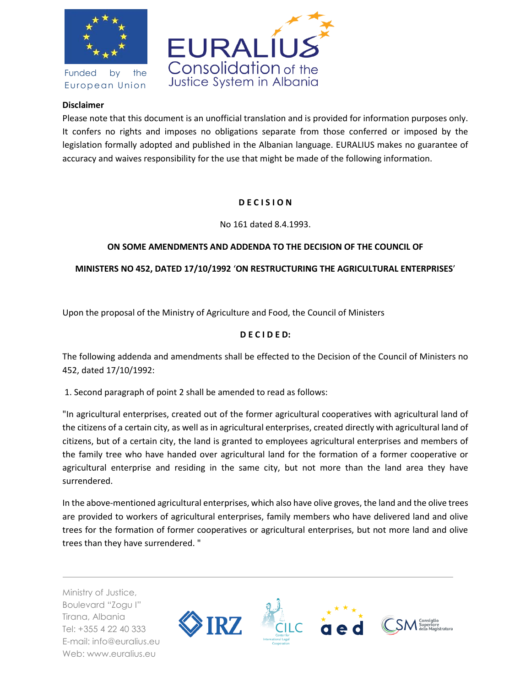

Funded by the European Union



#### **Disclaimer**

Please note that this document is an unofficial translation and is provided for information purposes only. It confers no rights and imposes no obligations separate from those conferred or imposed by the legislation formally adopted and published in the Albanian language. EURALIUS makes no guarantee of accuracy and waives responsibility for the use that might be made of the following information.

# **D E C I S I O N**

No 161 dated 8.4.1993.

## **ON SOME AMENDMENTS AND ADDENDA TO THE DECISION OF THE COUNCIL OF**

## **MINISTERS NO 452, DATED 17/10/1992** '**ON RESTRUCTURING THE AGRICULTURAL ENTERPRISES**'

Upon the proposal of the Ministry of Agriculture and Food, the Council of Ministers

# **D E C I D E D:**

The following addenda and amendments shall be effected to the Decision of the Council of Ministers no 452, dated 17/10/1992:

1. Second paragraph of point 2 shall be amended to read as follows:

"In agricultural enterprises, created out of the former agricultural cooperatives with agricultural land of the citizens of a certain city, as well as in agricultural enterprises, created directly with agricultural land of citizens, but of a certain city, the land is granted to employees agricultural enterprises and members of the family tree who have handed over agricultural land for the formation of a former cooperative or agricultural enterprise and residing in the same city, but not more than the land area they have surrendered.

In the above-mentioned agricultural enterprises, which also have olive groves, the land and the olive trees are provided to workers of agricultural enterprises, family members who have delivered land and olive trees for the formation of former cooperatives or agricultural enterprises, but not more land and olive trees than they have surrendered. "

Ministry of Justice, Boulevard "Zogu I" Tirana, Albania Tel: +355 4 22 40 333 E-mail: info@euralius.eu Web: www.euralius.eu

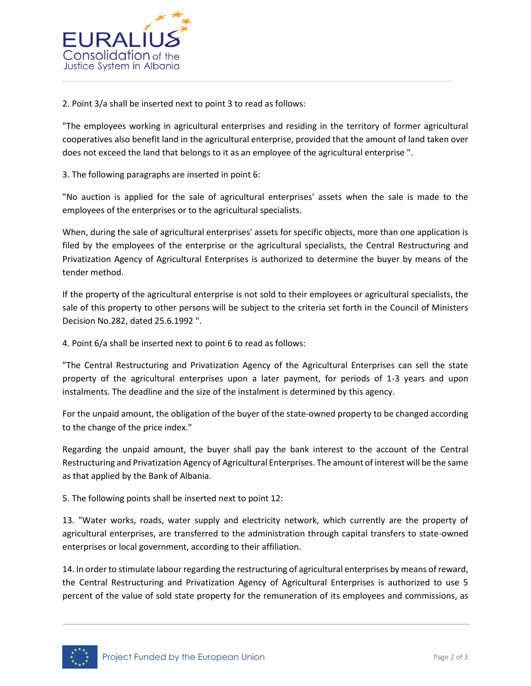

2. Point 3/a shall be inserted next to point 3 to read as follows:

"The employees working in agricultural enterprises and residing in the territory of former agricultural cooperatives also benefit land in the agricultural enterprise, provided that the amount of land taken over does not exceed the land that belongs to it as an employee of the agricultural enterprise ".

3. The following paragraphs are inserted in point 6:

"No auction is applied for the sale of agricultural enterprises' assets when the sale is made to the employees of the enterprises or to the agricultural specialists.

When, during the sale of agricultural enterprises' assets for specific objects, more than one application is filed by the employees of the enterprise or the agricultural specialists, the Central Restructuring and Privatization Agency of Agricultural Enterprises is authorized to determine the buyer by means of the tender method.

If the property of the agricultural enterprise is not sold to their employees or agricultural specialists, the sale of this property to other persons will be subject to the criteria set forth in the Council of Ministers Decision No.282, dated 25.6.1992 ".

4. Point 6/a shall be inserted next to point 6 to read as follows:

"The Central Restructuring and Privatization Agency of the Agricultural Enterprises can sell the state property of the agricultural enterprises upon a later payment, for periods of 1-3 years and upon instalments. The deadline and the size of the instalment is determined by this agency.

For the unpaid amount, the obligation of the buyer of the state-owned property to be changed according to the change of the price index."

Regarding the unpaid amount, the buyer shall pay the bank interest to the account of the Central Restructuring and Privatization Agency of Agricultural Enterprises. The amount of interest will be the same as that applied by the Bank of Albania.

5. The following points shall be inserted next to point 12:

13. "Water works, roads, water supply and electricity network, which currently are the property of agricultural enterprises, are transferred to the administration through capital transfers to state-owned enterprises or local government, according to their affiliation.

14. In order to stimulate labour regarding the restructuring of agricultural enterprises by means of reward, the Central Restructuring and Privatization Agency of Agricultural Enterprises is authorized to use 5 percent of the value of sold state property for the remuneration of its employees and commissions, as